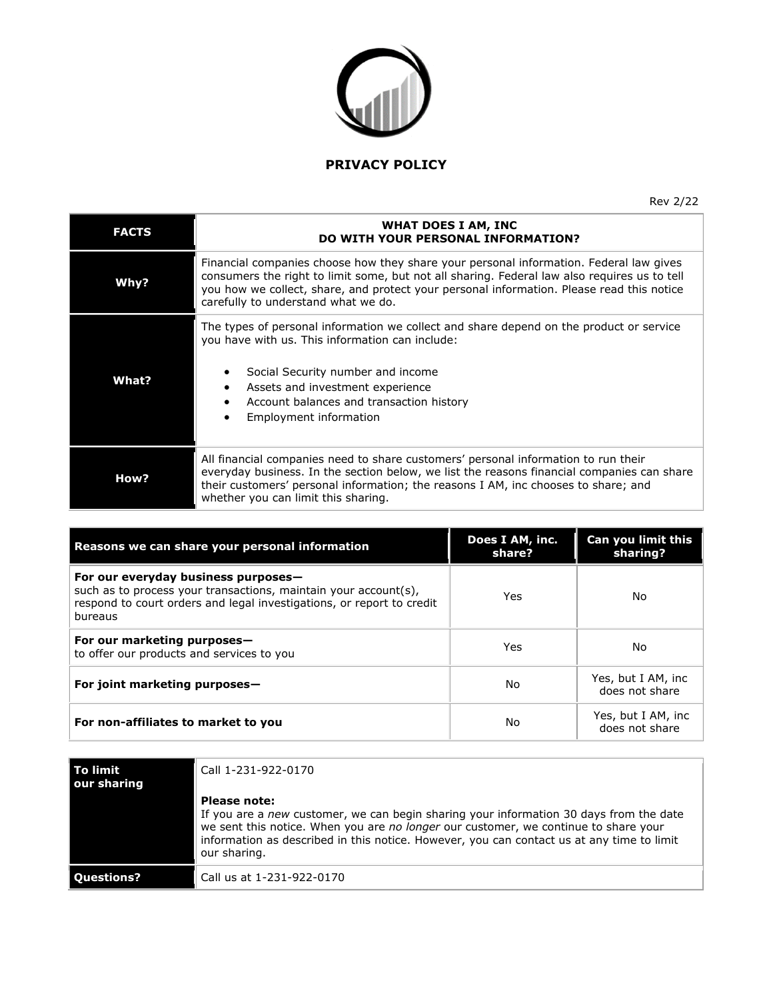

Rev 2/22

| <b>FACTS</b> | WHAT DOES I AM, INC<br>DO WITH YOUR PERSONAL INFORMATION?                                                                                                                                                                                                                                                                             |
|--------------|---------------------------------------------------------------------------------------------------------------------------------------------------------------------------------------------------------------------------------------------------------------------------------------------------------------------------------------|
| Why?         | Financial companies choose how they share your personal information. Federal law gives<br>consumers the right to limit some, but not all sharing. Federal law also requires us to tell<br>you how we collect, share, and protect your personal information. Please read this notice<br>carefully to understand what we do.            |
| What?        | The types of personal information we collect and share depend on the product or service<br>you have with us. This information can include:<br>Social Security number and income<br>٠<br>Assets and investment experience<br>$\bullet$<br>Account balances and transaction history<br>$\bullet$<br>Employment information<br>$\bullet$ |
| How?         | All financial companies need to share customers' personal information to run their<br>everyday business. In the section below, we list the reasons financial companies can share<br>their customers' personal information; the reasons I AM, inc chooses to share; and<br>whether you can limit this sharing.                         |

| Reasons we can share your personal information                                                                                                                                             | Does I AM, inc.<br>share? | Can you limit this<br>sharing?       |
|--------------------------------------------------------------------------------------------------------------------------------------------------------------------------------------------|---------------------------|--------------------------------------|
| For our everyday business purposes-<br>such as to process your transactions, maintain your account(s),<br>respond to court orders and legal investigations, or report to credit<br>bureaus | Yes                       | No.                                  |
| For our marketing purposes-<br>to offer our products and services to you                                                                                                                   | Yes                       | No.                                  |
| For joint marketing purposes-                                                                                                                                                              | No                        | Yes, but I AM, inc<br>does not share |
| For non-affiliates to market to you                                                                                                                                                        | No                        | Yes, but I AM, inc<br>does not share |

| To limit<br>our sharing | Call 1-231-922-0170                                                                                                                                                                                                                                                                                               |
|-------------------------|-------------------------------------------------------------------------------------------------------------------------------------------------------------------------------------------------------------------------------------------------------------------------------------------------------------------|
|                         | <b>Please note:</b><br>If you are a new customer, we can begin sharing your information 30 days from the date<br>we sent this notice. When you are no longer our customer, we continue to share your<br>information as described in this notice. However, you can contact us at any time to limit<br>our sharing. |
| Ouestions?              | Call us at 1-231-922-0170                                                                                                                                                                                                                                                                                         |